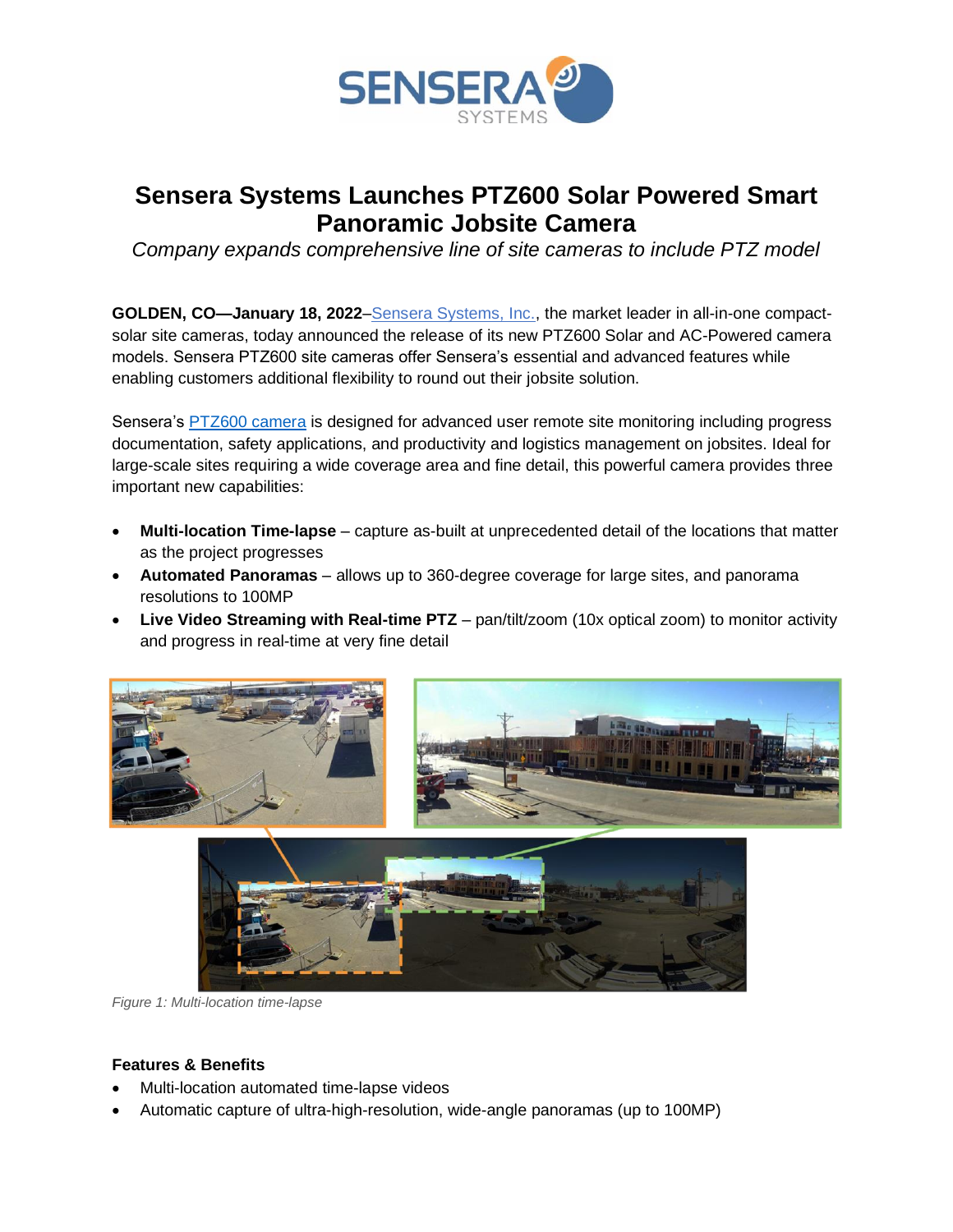

# **Sensera Systems Launches PTZ600 Solar Powered Smart Panoramic Jobsite Camera**

*Company expands comprehensive line of site cameras to include PTZ model*

**GOLDEN, CO—January 18, 2022**[–Sensera Systems, Inc.,](https://www.senserasystems.com/?utm_source=pr&utm_medium=press&utm_campaign=ptz600_launch&utm_id=PTZ600&utm_term=ptz) the market leader in all-in-one compactsolar site cameras, today announced the release of its new PTZ600 Solar and AC-Powered camera models. Sensera PTZ600 site cameras offer Sensera's essential and advanced features while enabling customers additional flexibility to round out their jobsite solution.

Sensera's [PTZ600 camera](https://www.senserasystems.com/ptz-cameras/?utm_source=pr&utm_medium=press&utm_campaign=ptz600_launch&utm_id=PTZ600&utm_term=ptz) is designed for advanced user remote site monitoring including progress documentation, safety applications, and productivity and logistics management on jobsites. Ideal for large-scale sites requiring a wide coverage area and fine detail, this powerful camera provides three important new capabilities:

- **Multi-location Time-lapse** capture as-built at unprecedented detail of the locations that matter as the project progresses
- **Automated Panoramas** allows up to 360-degree coverage for large sites, and panorama resolutions to 100MP
- **Live Video Streaming with Real-time PTZ** pan/tilt/zoom (10x optical zoom) to monitor activity and progress in real-time at very fine detail





*Figure 1: Multi-location time-lapse*

## **Features & Benefits**

- Multi-location automated time-lapse videos
- Automatic capture of ultra-high-resolution, wide-angle panoramas (up to 100MP)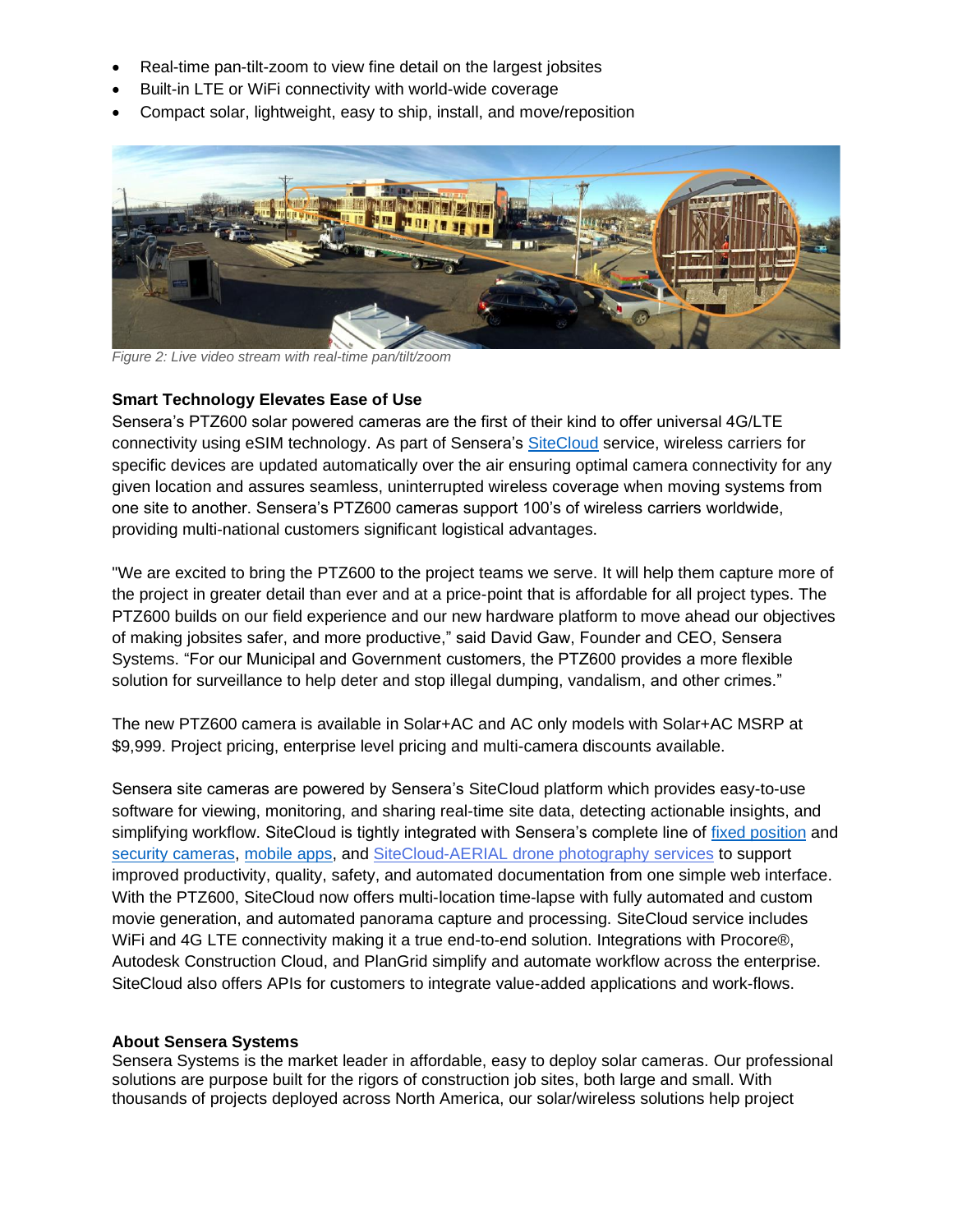- Real-time pan-tilt-zoom to view fine detail on the largest jobsites
- Built-in LTE or WiFi connectivity with world-wide coverage
- Compact solar, lightweight, easy to ship, install, and move/reposition



*Figure 2: Live video stream with real-time pan/tilt/zoom*

### **Smart Technology Elevates Ease of Use**

Sensera's PTZ600 solar powered cameras are the first of their kind to offer universal 4G/LTE connectivity using eSIM technology. As part of Sensera's [SiteCloud](https://www.senserasystems.com/sitecloud/?utm_source=pr&utm_medium=press&utm_campaign=ptz600_launch&utm_id=PTZ600&utm_term=ptz) service, wireless carriers for specific devices are updated automatically over the air ensuring optimal camera connectivity for any given location and assures seamless, uninterrupted wireless coverage when moving systems from one site to another. Sensera's PTZ600 cameras support 100's of wireless carriers worldwide, providing multi-national customers significant logistical advantages.

"We are excited to bring the PTZ600 to the project teams we serve. It will help them capture more of the project in greater detail than ever and at a price-point that is affordable for all project types. The PTZ600 builds on our field experience and our new hardware platform to move ahead our objectives of making jobsites safer, and more productive," said David Gaw, Founder and CEO, Sensera Systems. "For our Municipal and Government customers, the PTZ600 provides a more flexible solution for surveillance to help deter and stop illegal dumping, vandalism, and other crimes."

The new PTZ600 camera is available in Solar+AC and AC only models with Solar+AC MSRP at \$9,999. Project pricing, enterprise level pricing and multi-camera discounts available.

Sensera site cameras are powered by Sensera's SiteCloud platform which provides easy-to-use software for viewing, monitoring, and sharing real-time site data, detecting actionable insights, and simplifying workflow. SiteCloud is tightly integrated with Sensera's complete line of [fixed position](https://www.senserasystems.com/fixed-cameras/?utm_source=pr&utm_medium=press&utm_campaign=ptz600_launch&utm_id=PTZ600&utm_term=ptz) and [security cameras,](https://www.senserasystems.com/sitewatch-pro/?utm_source=pr&utm_medium=press&utm_campaign=ptz600_launch&utm_id=PTZ600&utm_term=ptz) [mobile apps,](https://www.senserasystems.com/mobile-applications/?utm_source=pr&utm_medium=press&utm_campaign=ptz600_launch&utm_id=PTZ600&utm_term=ptz) and [SiteCloud-AERIAL drone photography services](https://www.senserasystems.com/sitecloud-aerial/?utm_source=pr&utm_medium=press&utm_campaign=ptz600_launch&utm_id=PTZ600&utm_term=ptz) to support improved productivity, quality, safety, and automated documentation from one simple web interface. With the PTZ600, SiteCloud now offers multi-location time-lapse with fully automated and custom movie generation, and automated panorama capture and processing. SiteCloud service includes WiFi and 4G LTE connectivity making it a true end-to-end solution. Integrations with Procore®, Autodesk Construction Cloud, and PlanGrid simplify and automate workflow across the enterprise. SiteCloud also offers APIs for customers to integrate value-added applications and work-flows.

### **About Sensera Systems**

Sensera Systems is the market leader in affordable, easy to deploy solar cameras. Our professional solutions are purpose built for the rigors of construction job sites, both large and small. With thousands of projects deployed across North America, our solar/wireless solutions help project